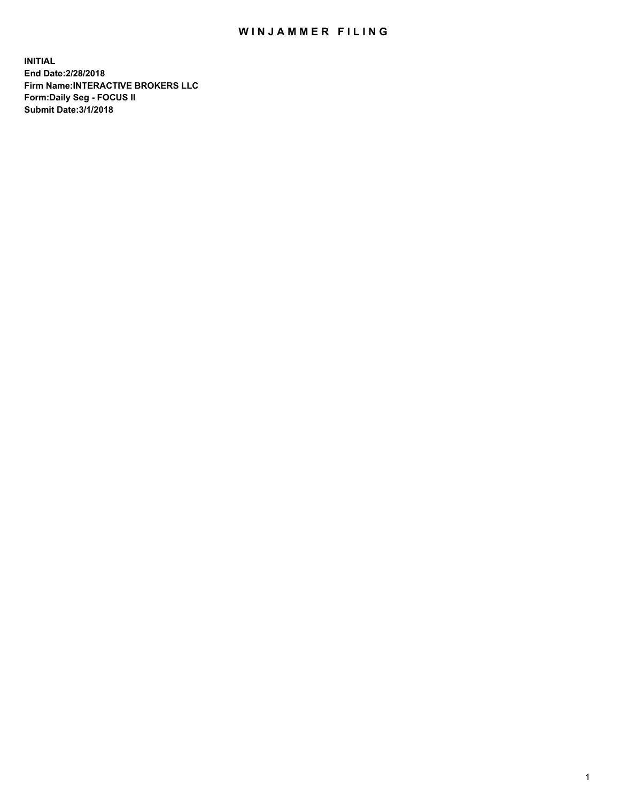## WIN JAMMER FILING

**INITIAL End Date:2/28/2018 Firm Name:INTERACTIVE BROKERS LLC Form:Daily Seg - FOCUS II Submit Date:3/1/2018**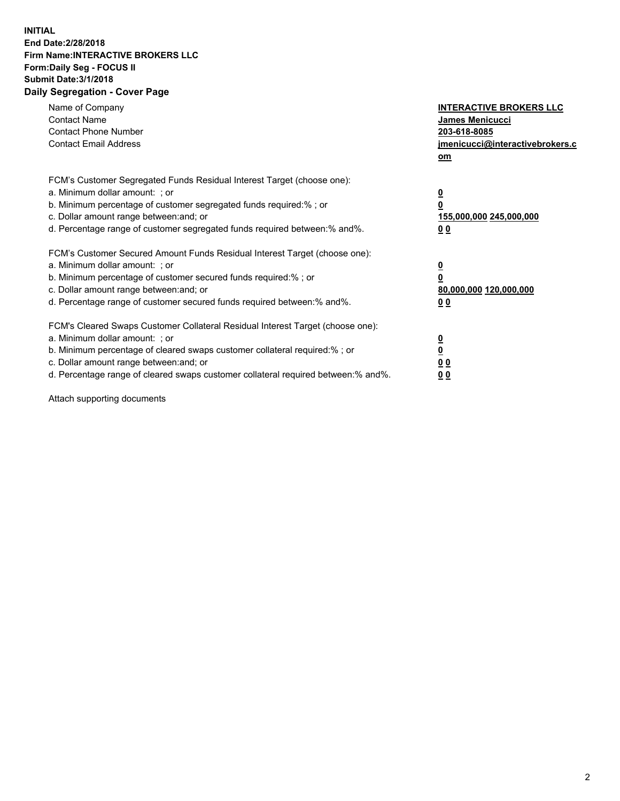## **INITIAL End Date:2/28/2018 Firm Name:INTERACTIVE BROKERS LLC Form:Daily Seg - FOCUS II Submit Date:3/1/2018 Daily Segregation - Cover Page**

| Name of Company<br><b>Contact Name</b><br><b>Contact Phone Number</b><br><b>Contact Email Address</b>                                                                                                                                                                                                                          | <b>INTERACTIVE BROKERS LLC</b><br>James Menicucci<br>203-618-8085<br>jmenicucci@interactivebrokers.c<br>om |
|--------------------------------------------------------------------------------------------------------------------------------------------------------------------------------------------------------------------------------------------------------------------------------------------------------------------------------|------------------------------------------------------------------------------------------------------------|
| FCM's Customer Segregated Funds Residual Interest Target (choose one):<br>a. Minimum dollar amount: ; or<br>b. Minimum percentage of customer segregated funds required:% ; or<br>c. Dollar amount range between: and; or<br>d. Percentage range of customer segregated funds required between:% and%.                         | $\overline{\mathbf{0}}$<br>0<br>155,000,000 245,000,000<br>0 <sub>0</sub>                                  |
| FCM's Customer Secured Amount Funds Residual Interest Target (choose one):<br>a. Minimum dollar amount: ; or<br>b. Minimum percentage of customer secured funds required:%; or<br>c. Dollar amount range between: and; or<br>d. Percentage range of customer secured funds required between: % and %.                          | $\overline{\mathbf{0}}$<br>0<br>80,000,000 120,000,000<br>0 <sub>0</sub>                                   |
| FCM's Cleared Swaps Customer Collateral Residual Interest Target (choose one):<br>a. Minimum dollar amount: ; or<br>b. Minimum percentage of cleared swaps customer collateral required:% ; or<br>c. Dollar amount range between: and; or<br>d. Percentage range of cleared swaps customer collateral required between:% and%. | $\overline{\mathbf{0}}$<br>$\overline{\mathbf{0}}$<br>0 <sub>0</sub><br>0 <sub>0</sub>                     |

Attach supporting documents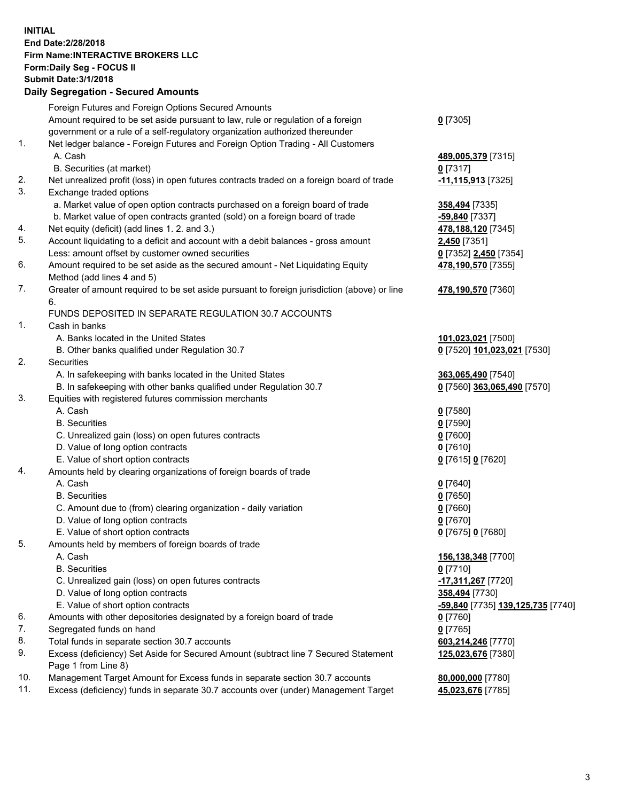## **INITIAL End Date:2/28/2018 Firm Name:INTERACTIVE BROKERS LLC Form:Daily Seg - FOCUS II Submit Date:3/1/2018 Daily Segregation - Secured Amounts**

|     | Foreign Futures and Foreign Options Secured Amounts                                         |                                                |
|-----|---------------------------------------------------------------------------------------------|------------------------------------------------|
|     | Amount required to be set aside pursuant to law, rule or regulation of a foreign            | $0$ [7305]                                     |
|     | government or a rule of a self-regulatory organization authorized thereunder                |                                                |
| 1.  | Net ledger balance - Foreign Futures and Foreign Option Trading - All Customers             |                                                |
|     | A. Cash                                                                                     | 489,005,379 [7315]                             |
|     | B. Securities (at market)                                                                   | $0$ [7317]                                     |
| 2.  | Net unrealized profit (loss) in open futures contracts traded on a foreign board of trade   | -11,115,913 [7325]                             |
| 3.  | Exchange traded options                                                                     |                                                |
|     | a. Market value of open option contracts purchased on a foreign board of trade              | 358,494 [7335]                                 |
|     | b. Market value of open contracts granted (sold) on a foreign board of trade                | -59,840 [7337]                                 |
| 4.  | Net equity (deficit) (add lines 1.2. and 3.)                                                | 478,188,120 [7345]                             |
| 5.  | Account liquidating to a deficit and account with a debit balances - gross amount           | 2,450 [7351]                                   |
|     | Less: amount offset by customer owned securities                                            | 0 [7352] 2,450 [7354]                          |
| 6.  | Amount required to be set aside as the secured amount - Net Liquidating Equity              | 478,190,570 [7355]                             |
|     | Method (add lines 4 and 5)                                                                  |                                                |
| 7.  | Greater of amount required to be set aside pursuant to foreign jurisdiction (above) or line | 478,190,570 [7360]                             |
|     | 6.                                                                                          |                                                |
|     | FUNDS DEPOSITED IN SEPARATE REGULATION 30.7 ACCOUNTS                                        |                                                |
| 1.  | Cash in banks                                                                               |                                                |
|     | A. Banks located in the United States                                                       | 101,023,021 [7500]                             |
|     | B. Other banks qualified under Regulation 30.7                                              | 0 [7520] 101,023,021 [7530]                    |
| 2.  | Securities                                                                                  |                                                |
|     | A. In safekeeping with banks located in the United States                                   | 363,065,490 [7540]                             |
|     | B. In safekeeping with other banks qualified under Regulation 30.7                          | 0 [7560] 363,065,490 [7570]                    |
| 3.  | Equities with registered futures commission merchants                                       |                                                |
|     | A. Cash                                                                                     | $0$ [7580]                                     |
|     | <b>B.</b> Securities                                                                        | $0$ [7590]                                     |
|     | C. Unrealized gain (loss) on open futures contracts                                         | $0$ [7600]                                     |
|     | D. Value of long option contracts                                                           | $0$ [7610]                                     |
|     | E. Value of short option contracts                                                          | 0 [7615] 0 [7620]                              |
| 4.  | Amounts held by clearing organizations of foreign boards of trade                           |                                                |
|     | A. Cash                                                                                     | $0$ [7640]                                     |
|     | <b>B.</b> Securities                                                                        | $0$ [7650]                                     |
|     | C. Amount due to (from) clearing organization - daily variation                             | $0$ [7660]                                     |
|     | D. Value of long option contracts                                                           | $0$ [7670]                                     |
|     | E. Value of short option contracts                                                          | 0 [7675] 0 [7680]                              |
| 5.  | Amounts held by members of foreign boards of trade                                          |                                                |
|     | A. Cash                                                                                     | 156,138,348 [7700]                             |
|     | <b>B.</b> Securities                                                                        | $0$ [7710]                                     |
|     | C. Unrealized gain (loss) on open futures contracts                                         | -17,311,267 [7720]                             |
|     | D. Value of long option contracts                                                           | 358,494 [7730]                                 |
|     | E. Value of short option contracts                                                          | <mark>-59,840</mark> [7735] 139,125,735 [7740] |
| 6.  | Amounts with other depositories designated by a foreign board of trade                      | $0$ [7760]                                     |
| 7.  | Segregated funds on hand                                                                    | $0$ [7765]                                     |
| 8.  | Total funds in separate section 30.7 accounts                                               | 603,214,246 [7770]                             |
| 9.  | Excess (deficiency) Set Aside for Secured Amount (subtract line 7 Secured Statement         | 125,023,676 [7380]                             |
|     | Page 1 from Line 8)                                                                         |                                                |
| 10. | Management Target Amount for Excess funds in separate section 30.7 accounts                 | 80,000,000 [7780]                              |
| 11. | Excess (deficiency) funds in separate 30.7 accounts over (under) Management Target          | 45,023,676 [7785]                              |
|     |                                                                                             |                                                |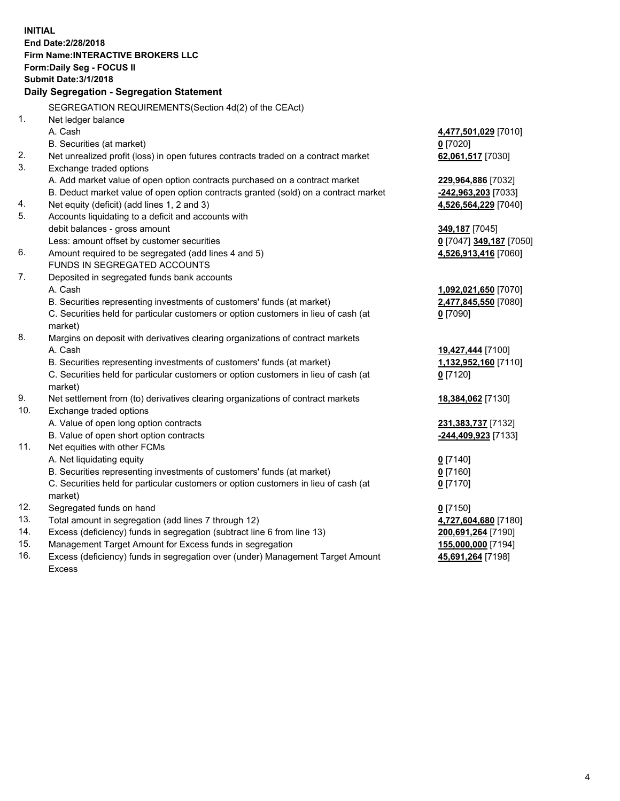**INITIAL End Date:2/28/2018 Firm Name:INTERACTIVE BROKERS LLC Form:Daily Seg - FOCUS II Submit Date:3/1/2018 Daily Segregation - Segregation Statement** SEGREGATION REQUIREMENTS(Section 4d(2) of the CEAct) 1. Net ledger balance A. Cash **4,477,501,029** [7010] B. Securities (at market) **0** [7020] 2. Net unrealized profit (loss) in open futures contracts traded on a contract market **62,061,517** [7030] 3. Exchange traded options A. Add market value of open option contracts purchased on a contract market **229,964,886** [7032] B. Deduct market value of open option contracts granted (sold) on a contract market **-242,963,203** [7033] 4. Net equity (deficit) (add lines 1, 2 and 3) **4,526,564,229** [7040] 5. Accounts liquidating to a deficit and accounts with debit balances - gross amount **349,187** [7045] Less: amount offset by customer securities **0** [7047] **349,187** [7050] 6. Amount required to be segregated (add lines 4 and 5) **4,526,913,416** [7060] FUNDS IN SEGREGATED ACCOUNTS 7. Deposited in segregated funds bank accounts A. Cash **1,092,021,650** [7070] B. Securities representing investments of customers' funds (at market) **2,477,845,550** [7080] C. Securities held for particular customers or option customers in lieu of cash (at market) **0** [7090] 8. Margins on deposit with derivatives clearing organizations of contract markets A. Cash **19,427,444** [7100] B. Securities representing investments of customers' funds (at market) **1,132,952,160** [7110] C. Securities held for particular customers or option customers in lieu of cash (at market) **0** [7120] 9. Net settlement from (to) derivatives clearing organizations of contract markets **18,384,062** [7130] 10. Exchange traded options A. Value of open long option contracts **231,383,737** [7132] B. Value of open short option contracts **-244,409,923** [7133] 11. Net equities with other FCMs A. Net liquidating equity **0** [7140] B. Securities representing investments of customers' funds (at market) **0** [7160] C. Securities held for particular customers or option customers in lieu of cash (at market) **0** [7170] 12. Segregated funds on hand **0** [7150] 13. Total amount in segregation (add lines 7 through 12) **4,727,604,680** [7180] 14. Excess (deficiency) funds in segregation (subtract line 6 from line 13) **200,691,264** [7190] 15. Management Target Amount for Excess funds in segregation **155,000,000** [7194] **45,691,264** [7198]

16. Excess (deficiency) funds in segregation over (under) Management Target Amount Excess